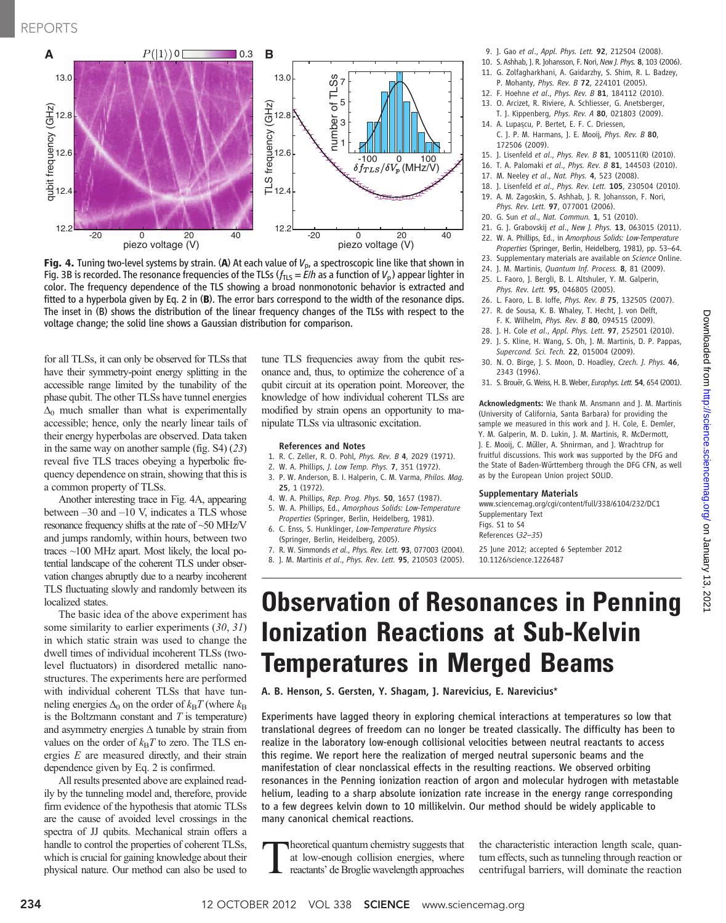

Fig. 4. Tuning two-level systems by strain. (A) At each value of  $V_{\rm p}$ , a spectroscopic line like that shown in Fig. 3B is recorded. The resonance frequencies of the TLSs ( $f_{TLS} = E/h$  as a function of  $V_p$ ) appear lighter in color. The frequency dependence of the TLS showing a broad nonmonotonic behavior is extracted and fitted to a hyperbola given by Eq. 2 in (B). The error bars correspond to the width of the resonance dips. The inset in (B) shows the distribution of the linear frequency changes of the TLSs with respect to the voltage change; the solid line shows a Gaussian distribution for comparison.

for all TLSs, it can only be observed for TLSs that have their symmetry-point energy splitting in the accessible range limited by the tunability of the phase qubit. The other TLSs have tunnel energies  $\Delta_0$  much smaller than what is experimentally accessible; hence, only the nearly linear tails of their energy hyperbolas are observed. Data taken in the same way on another sample (fig. S4) (23) reveal five TLS traces obeying a hyperbolic frequency dependence on strain, showing that this is a common property of TLSs.

Another interesting trace in Fig. 4A, appearing between –30 and –10 V, indicates a TLS whose resonance frequency shifts at the rate of ~50 MHz/V and jumps randomly, within hours, between two traces ~100 MHz apart. Most likely, the local potential landscape of the coherent TLS under observation changes abruptly due to a nearby incoherent TLS fluctuating slowly and randomly between its localized states.

The basic idea of the above experiment has some similarity to earlier experiments (30, 31) in which static strain was used to change the dwell times of individual incoherent TLSs (twolevel fluctuators) in disordered metallic nanostructures. The experiments here are performed with individual coherent TLSs that have tunneling energies  $\Delta_0$  on the order of  $k_BT$  (where  $k_B$ is the Boltzmann constant and  $T$  is temperature) and asymmetry energies ∆ tunable by strain from values on the order of  $k_BT$  to zero. The TLS energies E are measured directly, and their strain dependence given by Eq. 2 is confirmed.

All results presented above are explained readily by the tunneling model and, therefore, provide firm evidence of the hypothesis that atomic TLSs are the cause of avoided level crossings in the spectra of JJ qubits. Mechanical strain offers a handle to control the properties of coherent TLSs, which is crucial for gaining knowledge about their physical nature. Our method can also be used to

tune TLS frequencies away from the qubit resonance and, thus, to optimize the coherence of a qubit circuit at its operation point. Moreover, the knowledge of how individual coherent TLSs are modified by strain opens an opportunity to manipulate TLSs via ultrasonic excitation.

#### References and Notes

- 1. R. C. Zeller, R. O. Pohl, Phys. Rev. B 4, 2029 (1971).
- 2. W. A. Phillips, J. Low Temp. Phys. 7, 351 (1972).
- 3. P. W. Anderson, B. I. Halperin, C. M. Varma, Philos. Mag. 25, 1 (1972).
- 4. W. A. Phillips, Rep. Prog. Phys. 50, 1657 (1987). 5. W. A. Phillips, Ed., Amorphous Solids: Low-Temperature
- Properties (Springer, Berlin, Heidelberg, 1981). 6. C. Enss, S. Hunklinger, Low-Temperature Physics
- (Springer, Berlin, Heidelberg, 2005).
- 7. R. W. Simmonds et al., Phys. Rev. Lett. 93, 077003 (2004).
- 8. J. M. Martinis et al., Phys. Rev. Lett. 95, 210503 (2005).
- 9. J. Gao et al., Appl. Phys. Lett. 92, 212504 (2008).
- 10. S. Ashhab, J. R. Johansson, F. Nori, New J. Phys. 8, 103 (2006).
- 11. G. Zolfagharkhani, A. Gaidarzhy, S. Shim, R. L. Badzey,
- P. Mohanty, Phys. Rev. B 72, 224101 (2005). 12. F. Hoehne et al., Phys. Rev. B 81, 184112 (2010).
- 13. O. Arcizet, R. Riviere, A. Schliesser, G. Anetsberger,
- T. J. Kippenberg, Phys. Rev. A 80, 021803 (2009).
- 14. A. Lupaşcu, P. Bertet, E. F. C. Driessen, C. J. P. M. Harmans, J. E. Mooij, Phys. Rev. B 80, 172506 (2009).
- 15. J. Lisenfeld et al., Phys. Rev. B 81, 100511(R) (2010).
- 16. T. A. Palomaki et al., Phys. Rev. B 81, 144503 (2010).
- 17. M. Neeley et al., Nat. Phys. 4, 523 (2008).
- 18. J. Lisenfeld et al., Phys. Rev. Lett. 105, 230504 (2010). 19. A. M. Zagoskin, S. Ashhab, J. R. Johansson, F. Nori, Phys. Rev. Lett. 97, 077001 (2006).
- 20. G. Sun et al., Nat. Commun. 1, 51 (2010).
- 21. G. J. Grabovskij et al., New J. Phys. 13, 063015 (2011).
- 22. W. A. Phillips, Ed., in Amorphous Solids: Low-Temperature
- Properties (Springer, Berlin, Heidelberg, 1981), pp. 53–64.
- 23. Supplementary materials are available on Science Online.
- 24. J. M. Martinis, Quantum Inf. Process. 8, 81 (2009).
- 25. L. Faoro, J. Bergli, B. L. Altshuler, Y. M. Galperin, Phys. Rev. Lett. 95, 046805 (2005).
- 26. L. Faoro, L. B. Ioffe, Phys. Rev. B 75, 132505 (2007).
- 27. R. de Sousa, K. B. Whaley, T. Hecht, J. von Delft, F. K. Wilhelm, Phys. Rev. B 80, 094515 (2009).
- 28. J. H. Cole et al., Appl. Phys. Lett. 97, 252501 (2010).
- 29. J. S. Kline, H. Wang, S. Oh, J. M. Martinis, D. P. Pappas, Supercond. Sci. Tech. 22, 015004 (2009).
- 30. N. O. Birge, J. S. Moon, D. Hoadley, Czech. J. Phys. 46, 2343 (1996).
- 31. S. Brouër, G. Weiss, H. B. Weber, Europhys. Lett. 54, 654 (2001).

Acknowledgments: We thank M. Ansmann and J. M. Martinis (University of California, Santa Barbara) for providing the sample we measured in this work and J. H. Cole, E. Demler, Y. M. Galperin, M. D. Lukin, J. M. Martinis, R. McDermott, J. E. Mooij, C. Müller, A. Shnirman, and J. Wrachtrup for fruitful discussions. This work was supported by the DFG and the State of Baden-Württemberg through the DFG CFN, as well as by the European Union project SOLID.

#### Supplementary Materials

www.sciencemag.org/cgi/content/full/338/6104/232/DC1 Supplementary Text Figs. S1 to S4 References (32–35)

25 June 2012; accepted 6 September 2012 10.1126/science.1226487

## Observation of Resonances in Penning Ionization Reactions at Sub-Kelvin Temperatures in Merged Beams

A. B. Henson, S. Gersten, Y. Shagam, J. Narevicius, E. Narevicius\*

Experiments have lagged theory in exploring chemical interactions at temperatures so low that translational degrees of freedom can no longer be treated classically. The difficulty has been to realize in the laboratory low-enough collisional velocities between neutral reactants to access this regime. We report here the realization of merged neutral supersonic beams and the manifestation of clear nonclassical effects in the resulting reactions. We observed orbiting resonances in the Penning ionization reaction of argon and molecular hydrogen with metastable helium, leading to a sharp absolute ionization rate increase in the energy range corresponding to a few degrees kelvin down to 10 millikelvin. Our method should be widely applicable to many canonical chemical reactions.

Theoretical quantum chemistry suggests that at low-enough collision energies, where reactants' de Broglie wavelength approaches

the characteristic interaction length scale, quantum effects, such as tunneling through reaction or centrifugal barriers, will dominate the reaction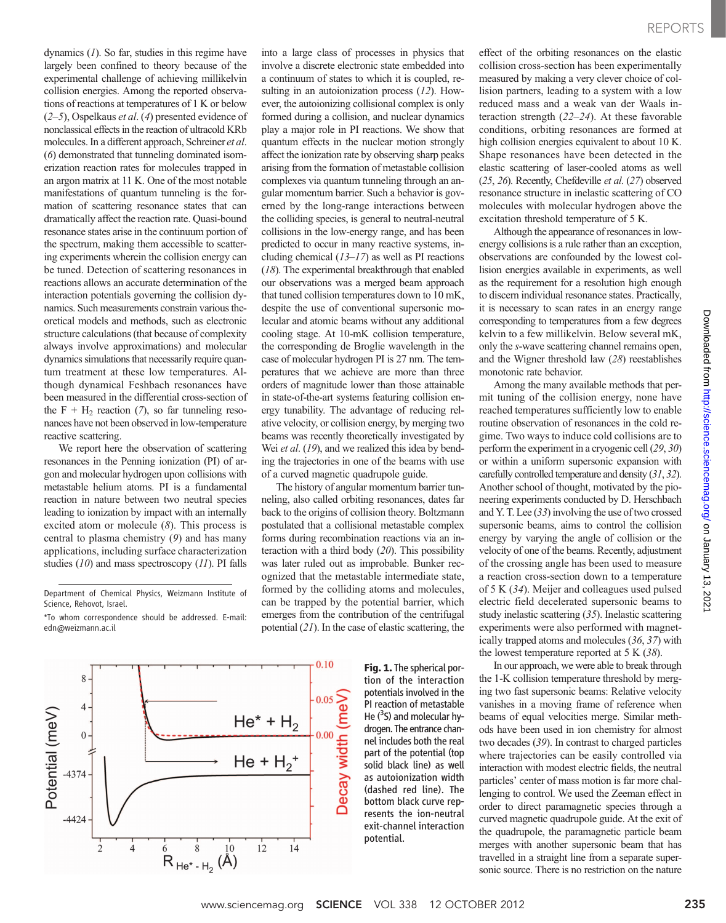dynamics (1). So far, studies in this regime have largely been confined to theory because of the experimental challenge of achieving millikelvin collision energies. Among the reported observations of reactions at temperatures of 1 K or below  $(2-5)$ , Ospelkaus *et al.* (4) presented evidence of nonclassical effects in the reaction of ultracold KRb molecules. In a different approach, Schreiner et al. (6) demonstrated that tunneling dominated isomerization reaction rates for molecules trapped in an argon matrix at 11 K. One of the most notable manifestations of quantum tunneling is the formation of scattering resonance states that can dramatically affect the reaction rate. Quasi-bound resonance states arise in the continuum portion of the spectrum, making them accessible to scattering experiments wherein the collision energy can be tuned. Detection of scattering resonances in reactions allows an accurate determination of the interaction potentials governing the collision dynamics. Such measurements constrain various theoretical models and methods, such as electronic structure calculations (that because of complexity always involve approximations) and molecular dynamics simulations that necessarily require quantum treatment at these low temperatures. Although dynamical Feshbach resonances have been measured in the differential cross-section of the F +  $H_2$  reaction (7), so far tunneling resonances have not been observed in low-temperature reactive scattering.

We report here the observation of scattering resonances in the Penning ionization (PI) of argon and molecular hydrogen upon collisions with metastable helium atoms. PI is a fundamental reaction in nature between two neutral species leading to ionization by impact with an internally excited atom or molecule (8). This process is central to plasma chemistry (9) and has many applications, including surface characterization studies  $(10)$  and mass spectroscopy  $(11)$ . PI falls

Department of Chemical Physics, Weizmann Institute of Science, Rehovot, Israel.

\*To whom correspondence should be addressed. E-mail: edn@weizmann.ac.il



into a large class of processes in physics that involve a discrete electronic state embedded into a continuum of states to which it is coupled, resulting in an autoionization process (12). However, the autoionizing collisional complex is only formed during a collision, and nuclear dynamics play a major role in PI reactions. We show that quantum effects in the nuclear motion strongly affect the ionization rate by observing sharp peaks arising from the formation of metastable collision complexes via quantum tunneling through an angular momentum barrier. Such a behavior is governed by the long-range interactions between the colliding species, is general to neutral-neutral collisions in the low-energy range, and has been predicted to occur in many reactive systems, including chemical  $(13-17)$  as well as PI reactions (18). The experimental breakthrough that enabled our observations was a merged beam approach that tuned collision temperatures down to 10 mK, despite the use of conventional supersonic molecular and atomic beams without any additional cooling stage. At 10-mK collision temperature, the corresponding de Broglie wavelength in the case of molecular hydrogen PI is 27 nm. The temperatures that we achieve are more than three orders of magnitude lower than those attainable in state-of-the-art systems featuring collision energy tunability. The advantage of reducing relative velocity, or collision energy, by merging two beams was recently theoretically investigated by Wei et al. (19), and we realized this idea by bending the trajectories in one of the beams with use of a curved magnetic quadrupole guide.

The history of angular momentum barrier tunneling, also called orbiting resonances, dates far back to the origins of collision theory. Boltzmann postulated that a collisional metastable complex forms during recombination reactions via an interaction with a third body (20). This possibility was later ruled out as improbable. Bunker recognized that the metastable intermediate state, formed by the colliding atoms and molecules, can be trapped by the potential barrier, which emerges from the contribution of the centrifugal potential (21). In the case of elastic scattering, the

 $0.10$ 

Fig. 1. The spherical portion of the interaction potentials involved in the PI reaction of metastable He  $(^3$ S) and molecular hydrogen. The entrance chaneffect of the orbiting resonances on the elastic collision cross-section has been experimentally measured by making a very clever choice of collision partners, leading to a system with a low reduced mass and a weak van der Waals interaction strength (22–24). At these favorable conditions, orbiting resonances are formed at high collision energies equivalent to about 10 K. Shape resonances have been detected in the elastic scattering of laser-cooled atoms as well (25, 26). Recently, Chefdeville et al. (27) observed resonance structure in inelastic scattering of CO molecules with molecular hydrogen above the excitation threshold temperature of 5 K.

Although the appearance of resonances in lowenergy collisions is a rule rather than an exception, observations are confounded by the lowest collision energies available in experiments, as well as the requirement for a resolution high enough to discern individual resonance states. Practically, it is necessary to scan rates in an energy range corresponding to temperatures from a few degrees kelvin to a few millikelvin. Below several mK, only the s-wave scattering channel remains open, and the Wigner threshold law (28) reestablishes monotonic rate behavior.

Among the many available methods that permit tuning of the collision energy, none have reached temperatures sufficiently low to enable routine observation of resonances in the cold regime. Two ways to induce cold collisions are to perform the experiment in a cryogenic cell (29, 30) or within a uniform supersonic expansion with carefully controlled temperature and density (31, 32). Another school of thought, motivated by the pioneering experiments conducted by D. Herschbach and Y. T. Lee (33) involving the use of two crossed supersonic beams, aims to control the collision energy by varying the angle of collision or the velocity of one of the beams. Recently, adjustment of the crossing angle has been used to measure a reaction cross-section down to a temperature of 5 K (34). Meijer and colleagues used pulsed electric field decelerated supersonic beams to study inelastic scattering (35). Inelastic scattering experiments were also performed with magnetically trapped atoms and molecules (36, 37) with the lowest temperature reported at  $5 K (38)$ .

In our approach, we were able to break through the 1-K collision temperature threshold by merging two fast supersonic beams: Relative velocity vanishes in a moving frame of reference when beams of equal velocities merge. Similar methods have been used in ion chemistry for almost two decades (39). In contrast to charged particles where trajectories can be easily controlled via interaction with modest electric fields, the neutral particles' center of mass motion is far more challenging to control. We used the Zeeman effect in order to direct paramagnetic species through a curved magnetic quadrupole guide. At the exit of the quadrupole, the paramagnetic particle beam merges with another supersonic beam that has travelled in a straight line from a separate supersonic source. There is no restriction on the nature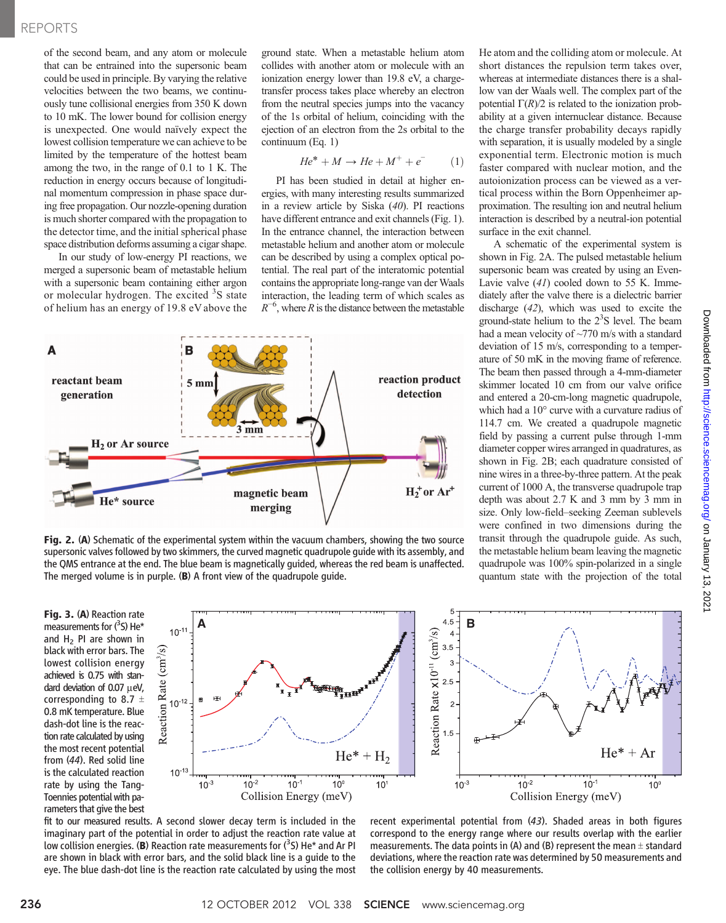### REPORTS

of the second beam, and any atom or molecule that can be entrained into the supersonic beam could be used in principle. By varying the relative velocities between the two beams, we continuously tune collisional energies from 350 K down to 10 mK. The lower bound for collision energy is unexpected. One would naïvely expect the lowest collision temperature we can achieve to be limited by the temperature of the hottest beam among the two, in the range of 0.1 to 1 K. The reduction in energy occurs because of longitudinal momentum compression in phase space during free propagation. Our nozzle-opening duration is much shorter compared with the propagation to the detector time, and the initial spherical phase space distribution deforms assuming a cigar shape.

In our study of low-energy PI reactions, we merged a supersonic beam of metastable helium with a supersonic beam containing either argon or molecular hydrogen. The excited <sup>3</sup>S state of helium has an energy of 19.8 eV above the

ground state. When a metastable helium atom collides with another atom or molecule with an ionization energy lower than 19.8 eV, a chargetransfer process takes place whereby an electron from the neutral species jumps into the vacancy of the 1s orbital of helium, coinciding with the ejection of an electron from the 2s orbital to the continuum (Eq. 1)

$$
He^* + M \rightarrow He + M^+ + e^- \tag{1}
$$

PI has been studied in detail at higher energies, with many interesting results summarized in a review article by Siska (40). PI reactions have different entrance and exit channels (Fig. 1). In the entrance channel, the interaction between metastable helium and another atom or molecule can be described by using a complex optical potential. The real part of the interatomic potential contains the appropriate long-range van der Waals interaction, the leading term of which scales as  $R^{-6}$ , where R is the distance between the metastable



Fig. 2. (A) Schematic of the experimental system within the vacuum chambers, showing the two source supersonic valves followed by two skimmers, the curved magnetic quadrupole guide with its assembly, and the QMS entrance at the end. The blue beam is magnetically guided, whereas the red beam is unaffected. The merged volume is in purple. (B) A front view of the quadrupole guide.

Fig. 3. (A) Reaction rate measurements for  $(^3$ S) He\* and  $H_2$  PI are shown in black with error bars. The lowest collision energy achieved is 0.75 with standard deviation of  $0.07 \mu eV$ , corresponding to 8.7  $\pm$ 0.8 mK temperature. Blue dash-dot line is the reaction rate calculated by using the most recent potential from (44). Red solid line is the calculated reaction rate by using the Tang-Toennies potential with parameters that give the best



fit to our measured results. A second slower decay term is included in the imaginary part of the potential in order to adjust the reaction rate value at low collision energies. (**B**) Reaction rate measurements for (<sup>3</sup>S) He\* and Ar PI<br>are shown in black with error bars, and the solid black line is a quide to the are shown in black with error bars, and the solid black line is a guide to the eye. The blue dash-dot line is the reaction rate calculated by using the most

recent experimental potential from (43). Shaded areas in both figures correspond to the energy range where our results overlap with the earlier measurements. The data points in (A) and (B) represent the mean  $\pm$  standard deviations, where the reaction rate was determined by 50 measurements and the collision energy by 40 measurements.

He atom and the colliding atom or molecule. At short distances the repulsion term takes over, whereas at intermediate distances there is a shallow van der Waals well. The complex part of the potential  $\Gamma(R)/2$  is related to the ionization probability at a given internuclear distance. Because the charge transfer probability decays rapidly with separation, it is usually modeled by a single exponential term. Electronic motion is much faster compared with nuclear motion, and the autoionization process can be viewed as a vertical process within the Born Oppenheimer approximation. The resulting ion and neutral helium interaction is described by a neutral-ion potential surface in the exit channel.

A schematic of the experimental system is shown in Fig. 2A. The pulsed metastable helium supersonic beam was created by using an Even-Lavie valve (41) cooled down to 55 K. Immediately after the valve there is a dielectric barrier discharge (42), which was used to excite the ground-state helium to the  $2<sup>3</sup>S$  level. The beam had a mean velocity of ~770 m/s with a standard deviation of 15 m/s, corresponding to a temperature of 50 mK in the moving frame of reference. The beam then passed through a 4-mm-diameter skimmer located 10 cm from our valve orifice and entered a 20-cm-long magnetic quadrupole, which had a 10° curve with a curvature radius of 114.7 cm. We created a quadrupole magnetic field by passing a current pulse through 1-mm diameter copper wires arranged in quadratures, as shown in Fig. 2B; each quadrature consisted of nine wires in a three-by-three pattern. At the peak current of 1000 A, the transverse quadrupole trap depth was about 2.7 K and 3 mm by 3 mm in size. Only low-field–seeking Zeeman sublevels were confined in two dimensions during the transit through the quadrupole guide. As such, the metastable helium beam leaving the magnetic quadrupole was 100% spin-polarized in a single quantum state with the projection of the total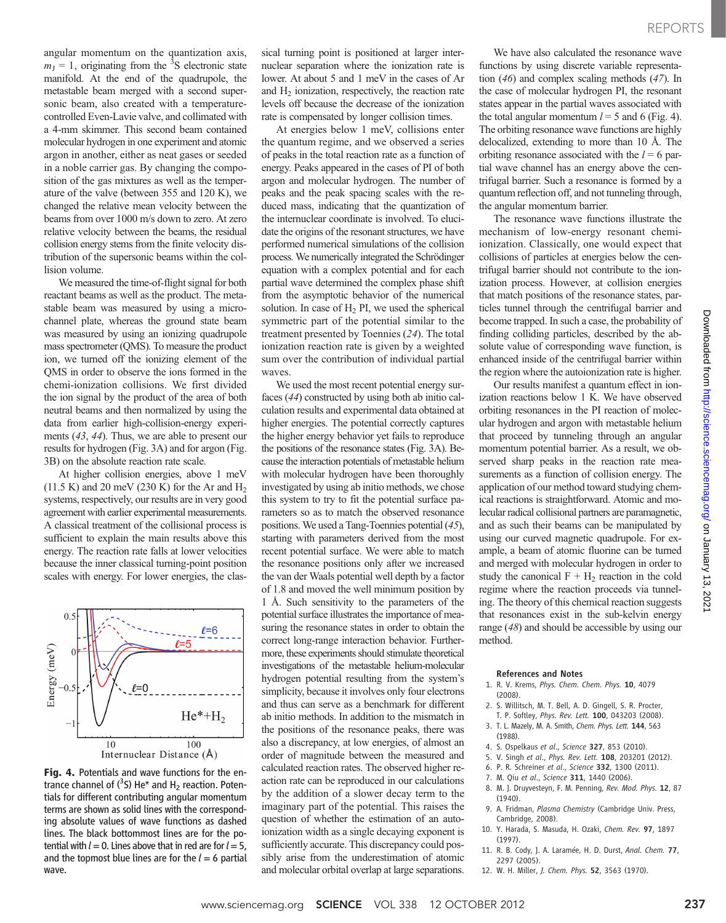angular momentum on the quantization axis,  $m_J = 1$ , originating from the <sup>3</sup>S electronic state manifold. At the end of the quadrupole, the metastable beam merged with a second supersonic beam, also created with a temperaturecontrolled Even-Lavie valve, and collimated with a 4-mm skimmer. This second beam contained molecular hydrogen in one experiment and atomic argon in another, either as neat gases or seeded in a noble carrier gas. By changing the composition of the gas mixtures as well as the temperature of the valve (between 355 and 120 K), we changed the relative mean velocity between the beams from over 1000 m/s down to zero. At zero relative velocity between the beams, the residual collision energy stems from the finite velocity distribution of the supersonic beams within the collision volume.

We measured the time-of-flight signal for both reactant beams as well as the product. The metastable beam was measured by using a microchannel plate, whereas the ground state beam was measured by using an ionizing quadrupole mass spectrometer (QMS). To measure the product ion, we turned off the ionizing element of the QMS in order to observe the ions formed in the chemi-ionization collisions. We first divided the ion signal by the product of the area of both neutral beams and then normalized by using the data from earlier high-collision-energy experiments (43, 44). Thus, we are able to present our results for hydrogen (Fig. 3A) and for argon (Fig. 3B) on the absolute reaction rate scale.

At higher collision energies, above 1 meV  $(11.5 K)$  and 20 meV  $(230 K)$  for the Ar and H<sub>2</sub> systems, respectively, our results are in very good agreement with earlier experimental measurements. A classical treatment of the collisional process is sufficient to explain the main results above this energy. The reaction rate falls at lower velocities because the inner classical turning-point position scales with energy. For lower energies, the clas-



Fig. 4. Potentials and wave functions for the entrance channel of  $(^3S)$  He\* and H<sub>2</sub> reaction. Potentials for different contributing angular momentum terms are shown as solid lines with the corresponding absolute values of wave functions as dashed lines. The black bottommost lines are for the potential with  $l = 0$ . Lines above that in red are for  $l = 5$ , and the topmost blue lines are for the  $l = 6$  partial wave.

sical turning point is positioned at larger internuclear separation where the ionization rate is lower. At about 5 and 1 meV in the cases of Ar and  $H<sub>2</sub>$  ionization, respectively, the reaction rate levels off because the decrease of the ionization rate is compensated by longer collision times.

At energies below 1 meV, collisions enter the quantum regime, and we observed a series of peaks in the total reaction rate as a function of energy. Peaks appeared in the cases of PI of both argon and molecular hydrogen. The number of peaks and the peak spacing scales with the reduced mass, indicating that the quantization of the internuclear coordinate is involved. To elucidate the origins of the resonant structures, we have performed numerical simulations of the collision process. We numerically integrated the Schrödinger equation with a complex potential and for each partial wave determined the complex phase shift from the asymptotic behavior of the numerical solution. In case of  $H_2$  PI, we used the spherical symmetric part of the potential similar to the treatment presented by Toennies (24). The total ionization reaction rate is given by a weighted sum over the contribution of individual partial waves.

We used the most recent potential energy surfaces (44) constructed by using both ab initio calculation results and experimental data obtained at higher energies. The potential correctly captures the higher energy behavior yet fails to reproduce the positions of the resonance states (Fig. 3A). Because the interaction potentials of metastable helium with molecular hydrogen have been thoroughly investigated by using ab initio methods, we chose this system to try to fit the potential surface parameters so as to match the observed resonance positions. We used a Tang-Toennies potential (45), starting with parameters derived from the most recent potential surface. We were able to match the resonance positions only after we increased the van der Waals potential well depth by a factor of 1.8 and moved the well minimum position by 1 Å. Such sensitivity to the parameters of the potential surface illustrates the importance of measuring the resonance states in order to obtain the correct long-range interaction behavior. Furthermore, these experiments should stimulate theoretical investigations of the metastable helium-molecular hydrogen potential resulting from the system's simplicity, because it involves only four electrons and thus can serve as a benchmark for different ab initio methods. In addition to the mismatch in the positions of the resonance peaks, there was also a discrepancy, at low energies, of almost an order of magnitude between the measured and calculated reaction rates. The observed higher reaction rate can be reproduced in our calculations by the addition of a slower decay term to the imaginary part of the potential. This raises the question of whether the estimation of an autoionization width as a single decaying exponent is sufficiently accurate. This discrepancy could possibly arise from the underestimation of atomic and molecular orbital overlap at large separations.

We have also calculated the resonance wave functions by using discrete variable representation (46) and complex scaling methods (47). In the case of molecular hydrogen PI, the resonant states appear in the partial waves associated with the total angular momentum  $l = 5$  and 6 (Fig. 4). The orbiting resonance wave functions are highly delocalized, extending to more than 10 Å. The orbiting resonance associated with the  $l = 6$  partial wave channel has an energy above the centrifugal barrier. Such a resonance is formed by a quantum reflection off, and not tunneling through, the angular momentum barrier.

The resonance wave functions illustrate the mechanism of low-energy resonant chemiionization. Classically, one would expect that collisions of particles at energies below the centrifugal barrier should not contribute to the ionization process. However, at collision energies that match positions of the resonance states, particles tunnel through the centrifugal barrier and become trapped. In such a case, the probability of finding colliding particles, described by the absolute value of corresponding wave function, is enhanced inside of the centrifugal barrier within the region where the autoionization rate is higher.

Our results manifest a quantum effect in ionization reactions below 1 K. We have observed orbiting resonances in the PI reaction of molecular hydrogen and argon with metastable helium that proceed by tunneling through an angular momentum potential barrier. As a result, we observed sharp peaks in the reaction rate measurements as a function of collision energy. The application of our method toward studying chemical reactions is straightforward. Atomic and molecular radical collisional partners are paramagnetic, and as such their beams can be manipulated by using our curved magnetic quadrupole. For example, a beam of atomic fluorine can be turned and merged with molecular hydrogen in order to study the canonical  $F + H_2$  reaction in the cold regime where the reaction proceeds via tunneling. The theory of this chemical reaction suggests that resonances exist in the sub-kelvin energy range (48) and should be accessible by using our method.

#### References and Notes

- 1. R. V. Krems, Phys. Chem. Chem. Phys. 10, 4079 (2008).
- 2. S. Willitsch, M. T. Bell, A. D. Gingell, S. R. Procter,
- T. P. Softley, Phys. Rev. Lett. 100, 043203 (2008). 3. T. L. Mazely, M. A. Smith, Chem. Phys. Lett. 144, 563
- (1988).
- 4. S. Ospelkaus et al., Science 327, 853 (2010).
- 5. V. Singh et al., Phys. Rev. Lett. 108, 203201 (2012).
- 6. P. R. Schreiner et al., Science 332, 1300 (2011).
- 7. M. Qiu et al., Science 311, 1440 (2006).
- 8. M. J. Druyvesteyn, F. M. Penning, Rev. Mod. Phys. 12, 87  $(1940)$
- 9. A. Fridman, Plasma Chemistry (Cambridge Univ. Press, Cambridge, 2008).
- 10. Y. Harada, S. Masuda, H. Ozaki, Chem. Rev. 97, 1897 (1997).
- 11. R. B. Cody, J. A. Laramée, H. D. Durst, Anal. Chem. 77, 2297 (2005).
- 12. W. H. Miller, J. Chem. Phys. 52, 3563 (1970).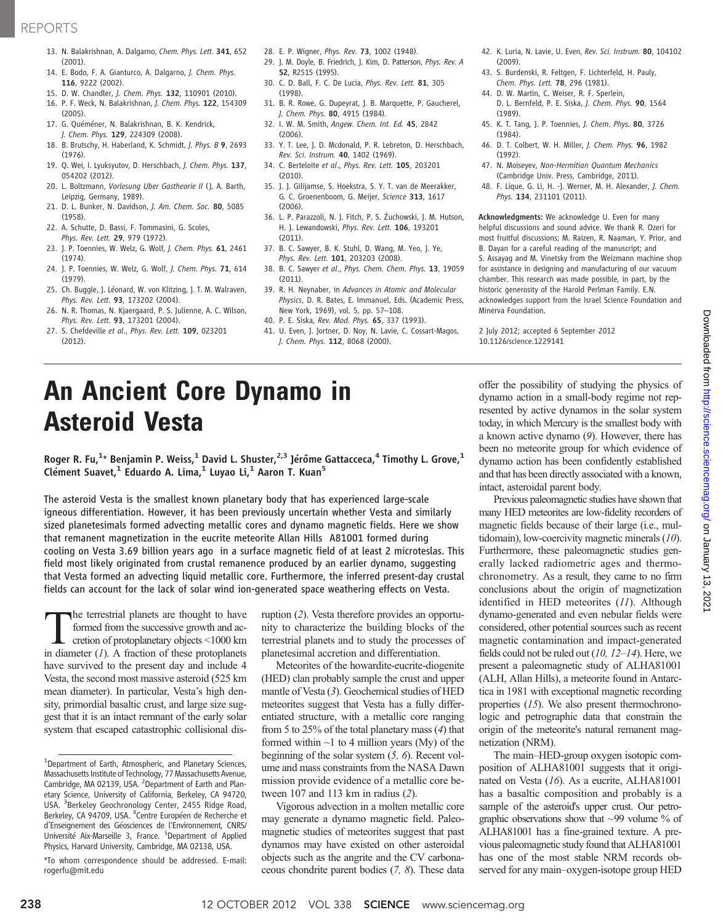## REPORTS

- 13. N. Balakrishnan, A. Dalgarno, Chem. Phys. Lett. 341, 652 (2001).
- 14. E. Bodo, F. A. Gianturco, A. Dalgarno, J. Chem. Phys. 116, 9222 (2002).
- 15. D. W. Chandler, J. Chem. Phys. 132, 110901 (2010).
- 16. P. F. Weck, N. Balakrishnan, J. Chem. Phys. 122, 154309 (2005).
- 17. G. Quéméner, N. Balakrishnan, B. K. Kendrick, J. Chem. Phys. 129, 224309 (2008).
- 18. B. Brutschy, H. Haberland, K. Schmidt, J. Phys. B 9, 2693 (1976).
- 19. Q. Wei, I. Lyuksyutov, D. Herschbach, J. Chem. Phys. 137, 054202 (2012).
- 20. L. Boltzmann, Vorlesung Uber Gastheorie II (J. A. Barth, Leipzig, Germany, 1989).
- 21. D. L. Bunker, N. Davidson, J. Am. Chem. Soc. 80, 5085 (1958).
- 22. A. Schutte, D. Bassi, F. Tommasini, G. Scoles, Phys. Rev. Lett. 29, 979 (1972).
- 23. J. P. Toennies, W. Welz, G. Wolf, J. Chem. Phys. 61, 2461 (1974).
- 24. J. P. Toennies, W. Welz, G. Wolf, J. Chem. Phys. 71, 614 (1979).
- 25. Ch. Buggle, J. Léonard, W. von Klitzing, J. T. M. Walraven, Phys. Rev. Lett. 93, 173202 (2004).
- 26. N. R. Thomas, N. Kjaergaard, P. S. Julienne, A. C. Wilson, Phys. Rev. Lett. 93, 173201 (2004).
- 27. S. Chefdeville et al., Phys. Rev. Lett. 109, 023201 (2012).
- 28. E. P. Wigner, Phys. Rev. 73, 1002 (1948).
- 29. J. M. Doyle, B. Friedrich, J. Kim, D. Patterson, Phys. Rev. A 52, R2515 (1995).
- 30. C. D. Ball, F. C. De Lucia, Phys. Rev. Lett. 81, 305 (1998).
- 31. B. R. Rowe, G. Dupeyrat, J. B. Marquette, P. Gaucherel, J. Chem. Phys. 80, 4915 (1984).
- 32. I. W. M. Smith, Angew. Chem. Int. Ed. 45, 2842 (2006).
- 33. Y. T. Lee, J. D. Mcdonald, P. R. Lebreton, D. Herschbach, Rev. Sci. Instrum. 40, 1402 (1969).
- 34. C. Berteloite et al., Phys. Rev. Lett. 105, 203201  $(2010)$
- 35. J. J. Gilijamse, S. Hoekstra, S. Y. T. van de Meerakker, G. C. Groenenboom, G. Meijer, Science 313, 1617 (2006).
- 36. L. P. Parazzoli, N. J. Fitch, P. S. Żuchowski, J. M. Hutson, H. J. Lewandowski, Phys. Rev. Lett. 106, 193201 (2011).
- 37. B. C. Sawyer, B. K. Stuhl, D. Wang, M. Yeo, J. Ye, Phys. Rev. Lett. 101, 203203 (2008).
- 38. B. C. Sawyer et al., Phys. Chem. Chem. Phys. 13, 19059 (2011).
- 39. R. H. Neynaber, in Advances in Atomic and Molecular Physics, D. R. Bates, E. Immanuel, Eds. (Academic Press, New York, 1969), vol. 5, pp. 57–108.
- 40. P. E. Siska, Rev. Mod. Phys. 65, 337 (1993).
- 41. U. Even, J. Jortner, D. Noy, N. Lavie, C. Cossart-Magos, J. Chem. Phys. 112, 8068 (2000).
- 42. K. Luria, N. Lavie, U. Even, Rev. Sci. Instrum. 80, 104102 (2009).
- 43. S. Burdenski, R. Feltgen, F. Lichterfeld, H. Pauly, Chem. Phys. Lett. 78, 296 (1981).
- 44. D. W. Martin, C. Weiser, R. F. Sperlein, D. L. Bernfeld, P. E. Siska, J. Chem. Phys. 90, 1564 (1989).
- 45. K. T. Tang, J. P. Toennies, J. Chem. Phys. 80, 3726 (1984).
- 46. D. T. Colbert, W. H. Miller, J. Chem. Phys. 96, 1982 (1992).
- 47. N. Moiseyev, Non-Hermitian Quantum Mechanics (Cambridge Univ. Press, Cambridge, 2011).
- 48. F. Lique, G. Li, H. -J. Werner, M. H. Alexander, J. Chem. Phys. 134, 231101 (2011).

Acknowledgments: We acknowledge U. Even for many helpful discussions and sound advice. We thank R. Ozeri for most fruitful discussions; M. Raizen, R. Naaman, Y. Prior, and B. Dayan for a careful reading of the manuscript; and S. Assayag and M. Vinetsky from the Weizmann machine shop for assistance in designing and manufacturing of our vacuum chamber. This research was made possible, in part, by the historic generosity of the Harold Perlman Family. E.N. acknowledges support from the Israel Science Foundation and Minerva Foundation.

2 July 2012; accepted 6 September 2012 10.1126/science.1229141

# An Ancient Core Dynamo in Asteroid Vesta

Roger R. Fu, $^{1\star}$  Benjamin P. Weiss, $^1$  David L. Shuster, $^{2,3}$  Jérôme Gattacceca, $^4$  Timothy L. Grove, $^1$ Clément Suavet,<sup>1</sup> Eduardo A. Lima,<sup>1</sup> Luyao Li,<sup>1</sup> Aaron T. Kuan<sup>5</sup>

The asteroid Vesta is the smallest known planetary body that has experienced large-scale igneous differentiation. However, it has been previously uncertain whether Vesta and similarly sized planetesimals formed advecting metallic cores and dynamo magnetic fields. Here we show that remanent magnetization in the eucrite meteorite Allan Hills A81001 formed during cooling on Vesta 3.69 billion years ago in a surface magnetic field of at least 2 microteslas. This field most likely originated from crustal remanence produced by an earlier dynamo, suggesting that Vesta formed an advecting liquid metallic core. Furthermore, the inferred present-day crustal fields can account for the lack of solar wind ion-generated space weathering effects on Vesta.

The terrestrial planets are thought to have formed from the successive growth and accretion of protoplanetary objects <1000 km in diameter  $(I)$ . A fraction of these protoplanets have survived to the present day and include 4 Vesta, the second most massive asteroid (525 km mean diameter). In particular, Vesta's high density, primordial basaltic crust, and large size suggest that it is an intact remnant of the early solar system that escaped catastrophic collisional dis-

\*To whom correspondence should be addressed. E-mail: rogerfu@mit.edu

ruption (2). Vesta therefore provides an opportunity to characterize the building blocks of the terrestrial planets and to study the processes of planetesimal accretion and differentiation.

Meteorites of the howardite-eucrite-diogenite (HED) clan probably sample the crust and upper mantle of Vesta (3). Geochemical studies of HED meteorites suggest that Vesta has a fully differentiated structure, with a metallic core ranging from 5 to 25% of the total planetary mass (4) that formed within  $\sim$ 1 to 4 million years (My) of the beginning of the solar system  $(5, 6)$ . Recent volume and mass constraints from the NASA Dawn mission provide evidence of a metallic core between 107 and 113 km in radius (2).

Vigorous advection in a molten metallic core may generate a dynamo magnetic field. Paleomagnetic studies of meteorites suggest that past dynamos may have existed on other asteroidal objects such as the angrite and the CV carbonaceous chondrite parent bodies (7, 8). These data

offer the possibility of studying the physics of dynamo action in a small-body regime not represented by active dynamos in the solar system today, in which Mercury is the smallest body with a known active dynamo (9). However, there has been no meteorite group for which evidence of dynamo action has been confidently established and that has been directly associated with a known, intact, asteroidal parent body.

Previous paleomagnetic studies have shown that many HED meteorites are low-fidelity recorders of magnetic fields because of their large (i.e., multidomain), low-coercivity magnetic minerals (10). Furthermore, these paleomagnetic studies generally lacked radiometric ages and thermochronometry. As a result, they came to no firm conclusions about the origin of magnetization identified in HED meteorites (11). Although dynamo-generated and even nebular fields were considered, other potential sources such as recent magnetic contamination and impact-generated fields could not be ruled out (10, 12*–*14). Here, we present a paleomagnetic study of ALHA81001 (ALH, Allan Hills), a meteorite found in Antarctica in 1981 with exceptional magnetic recording properties (15). We also present thermochronologic and petrographic data that constrain the origin of the meteorite's natural remanent magnetization (NRM).

The main–HED-group oxygen isotopic composition of ALHA81001 suggests that it originated on Vesta (16). As a eucrite, ALHA81001 has a basaltic composition and probably is a sample of the asteroid's upper crust. Our petrographic observations show that  $\sim$ 99 volume  $\%$  of ALHA81001 has a fine-grained texture. A previous paleomagnetic study found that ALHA81001 has one of the most stable NRM records observed for any main–oxygen-isotope group HED

<sup>&</sup>lt;sup>1</sup>Department of Earth, Atmospheric, and Planetary Sciences, Massachusetts Institute of Technology, 77 Massachusetts Avenue, Cambridge, MA 02139, USA. <sup>2</sup> Department of Earth and Planetary Science, University of California, Berkeley, CA 94720, USA. <sup>3</sup>Berkeley Geochronology Center, 2455 Ridge Road, Berkeley, CA 94709, USA. <sup>4</sup>Centre Européen de Recherche et d'Enseignement des Géosciences de l'Environnement, CNRS/ Université Aix-Marseille 3, France. <sup>5</sup>Department of Applied Physics, Harvard University, Cambridge, MA 02138, USA.